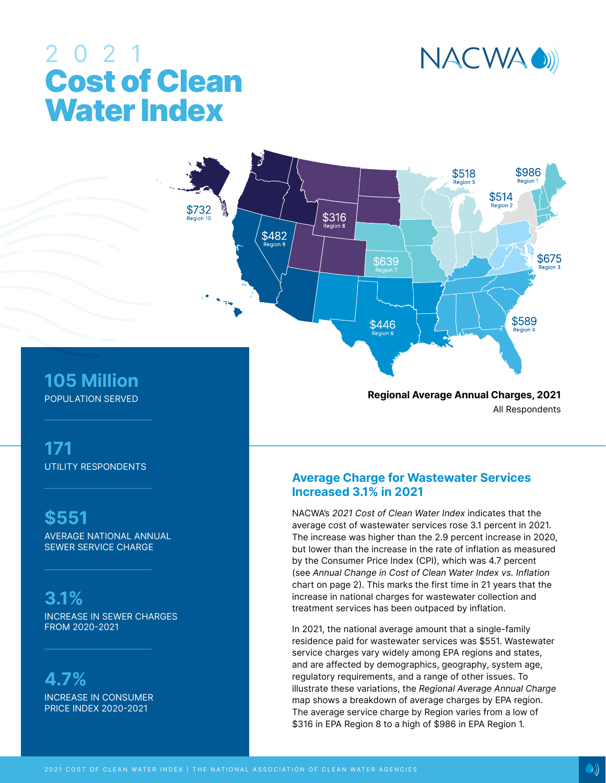

# 2021 Cost of Clean Water Index

**105 Million** POPULATION SERVED

**171** UTILITY RESPONDENTS

**\$551**

AVERAGE NATIONAL ANNUAL SEWER SERVICE CHARGE

**3.1%** INCREASE IN SEWER CHARGES FROM 2020-2021

**4.7%** INCREASE IN CONSUMER PRICE INDEX 2020-2021

**Regional Average Annual Charges, 2021** All Respondents

### **Average Charge for Wastewater Services Increased 3.1% in 2021**

NACWA's 2021 Cost of Clean Water Index indicates that the average cost of wastewater services rose 3.1 percent in 2021. The increase was higher than the 2.9 percent increase in 2020, but lower than the increase in the rate of inflation as measured by the Consumer Price Index (CPI), which was 4.7 percent (see Annual Change in Cost of Clean Water Index vs. Inflation chart on page 2). This marks the first time in 21 years that the increase in national charges for wastewater collection and treatment services has been outpaced by inflation.

In 2021, the national average amount that a single-family residence paid for wastewater services was \$551. Wastewater service charges vary widely among EPA regions and states, and are affected by demographics, geography, system age, regulatory requirements, and a range of other issues. To illustrate these variations, the Regional Average Annual Charge map shows a breakdown of average charges by EPA region. The average service charge by Region varies from a low of \$316 in EPA Region 8 to a high of \$986 in EPA Region 1.



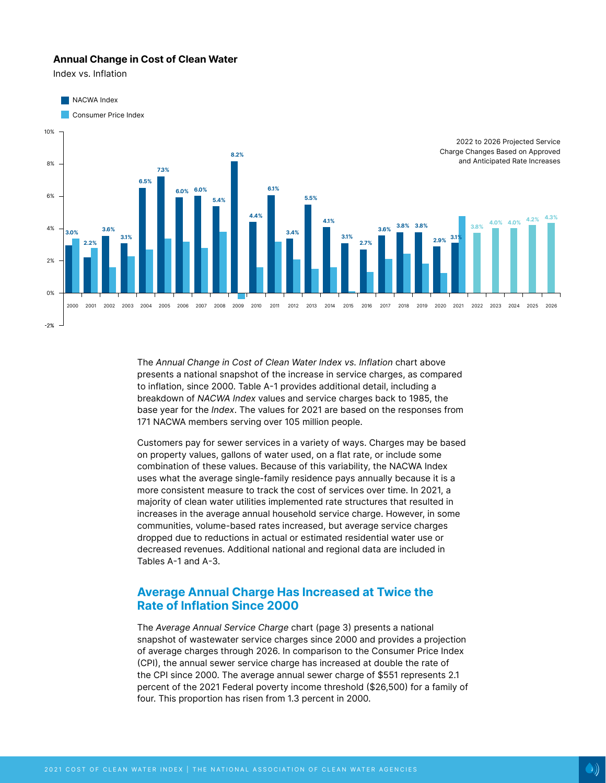### **Annual Change in Cost of Clean Water**

Index vs. Inflation





The Annual Change in Cost of Clean Water Index vs. Inflation chart above presents a national snapshot of the increase in service charges, as compared to inflation, since 2000. Table A-1 provides additional detail, including a breakdown of NACWA Index values and service charges back to 1985, the base year for the Index. The values for 2021 are based on the responses from 171 NACWA members serving over 105 million people.

Customers pay for sewer services in a variety of ways. Charges may be based on property values, gallons of water used, on a flat rate, or include some combination of these values. Because of this variability, the NACWA Index uses what the average single-family residence pays annually because it is a more consistent measure to track the cost of services over time. In 2021, a majority of clean water utilities implemented rate structures that resulted in increases in the average annual household service charge. However, in some communities, volume-based rates increased, but average service charges dropped due to reductions in actual or estimated residential water use or decreased revenues. Additional national and regional data are included in Tables A-1 and A-3.

### **Average Annual Charge Has Increased at Twice the Rate of Inflation Since 2000**

The Average Annual Service Charge chart (page 3) presents a national snapshot of wastewater service charges since 2000 and provides a projection of average charges through 2026. In comparison to the Consumer Price Index (CPI), the annual sewer service charge has increased at double the rate of the CPI since 2000. The average annual sewer charge of \$551 represents 2.1 percent of the 2021 Federal poverty income threshold (\$26,500) for a family of four. This proportion has risen from 1.3 percent in 2000.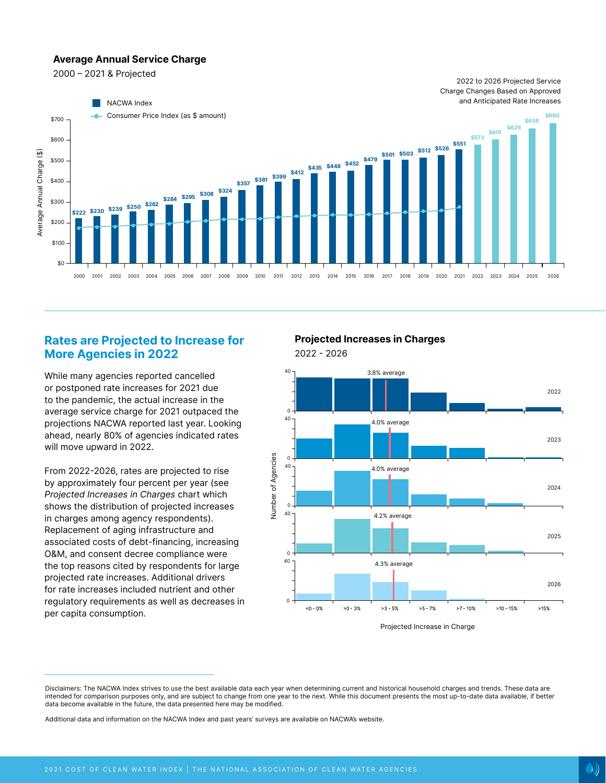### **Average Annual Service Charge**

2000 – 2021 & Projected



### **Rates are Projected to Increase for More Agencies in 2022**

While many agencies reported cancelled or postponed rate increases for 2021 due to the pandemic, the actual increase in the average service charge for 2021 outpaced the projections NACWA reported last year. Looking ahead, nearly 80% of agencies indicated rates will move upward in 2022.

From 2022-2026, rates are projected to rise by approximately four percent per year (see Projected Increases in Charges chart which shows the distribution of projected increases in charges among agency respondents). Replacement of aging infrastructure and associated costs of debt-financing, increasing O&M, and consent decree compliance were the top reasons cited by respondents for large projected rate increases. Additional drivers for rate increases included nutrient and other regulatory requirements as well as decreases in per capita consumption.

**Projected Increases in Charges**



Disclaimers: The NACWA Index strives to use the best available data each year when determining current and historical household charges and trends. These data are intended for comparison purposes only, and are subject to change from one year to the next. While this document presents the most up-to-date data available, if better data become available in the future, the data presented here may be modified.

Additional data and information on the NACWA Index and past years' surveys are available on NACWA's website.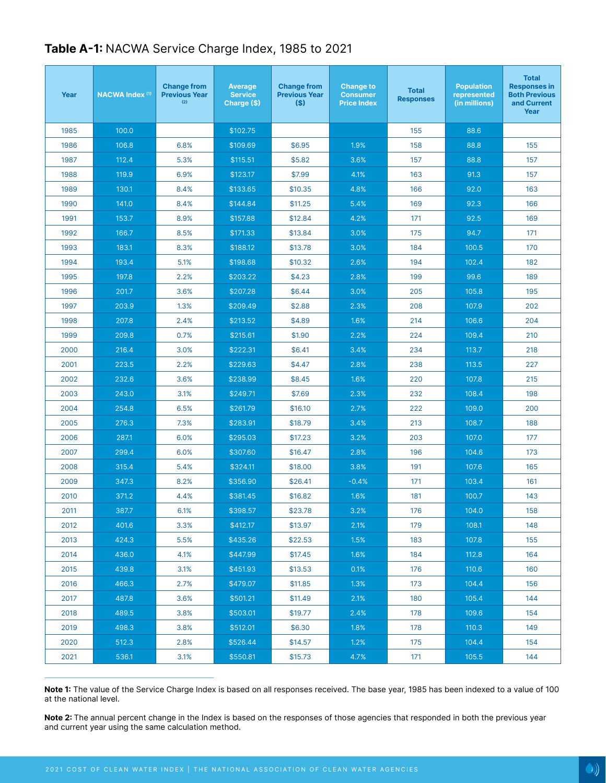| Year | <b>NACWA Index (1)</b> | <b>Change from</b><br><b>Previous Year</b><br>(2) | <b>Average</b><br><b>Service</b><br>Charge (\$) | <b>Change from</b><br><b>Previous Year</b><br>(S) | <b>Change to</b><br><b>Consumer</b><br><b>Price Index</b> | <b>Total</b><br><b>Responses</b> | <b>Population</b><br>represented<br>(in millions) | <b>Total</b><br><b>Responses in</b><br><b>Both Previous</b><br>and Current<br>Year |
|------|------------------------|---------------------------------------------------|-------------------------------------------------|---------------------------------------------------|-----------------------------------------------------------|----------------------------------|---------------------------------------------------|------------------------------------------------------------------------------------|
| 1985 | 100.0                  |                                                   | \$102.75                                        |                                                   |                                                           | 155                              | 88.6                                              |                                                                                    |
| 1986 | 106.8                  | 6.8%                                              | \$109.69                                        | \$6.95                                            | 1.9%                                                      | 158                              | 88.8                                              | 155                                                                                |
| 1987 | 112.4                  | 5.3%                                              | \$115.51                                        | \$5.82                                            | 3.6%                                                      | 157                              | 88.8                                              | 157                                                                                |
| 1988 | 119.9                  | 6.9%                                              | \$123.17                                        | \$7.99                                            | 4.1%                                                      | 163                              | 91.3                                              | 157                                                                                |
| 1989 | 130.1                  | 8.4%                                              | \$133.65                                        | \$10.35                                           | 4.8%                                                      | 166                              | 92.0                                              | 163                                                                                |
| 1990 | 141.0                  | 8.4%                                              | \$144.84                                        | \$11.25                                           | 5.4%                                                      | 169                              | 92.3                                              | 166                                                                                |
| 1991 | 153.7                  | 8.9%                                              | \$157.88                                        | \$12.84                                           | 4.2%                                                      | 171                              | 92.5                                              | 169                                                                                |
| 1992 | 166.7                  | 8.5%                                              | \$171.33                                        | \$13.84                                           | 3.0%                                                      | 175                              | 94.7                                              | 171                                                                                |
| 1993 | 183.1                  | 8.3%                                              | \$188.12                                        | \$13.78                                           | 3.0%                                                      | 184                              | 100.5                                             | 170                                                                                |
| 1994 | 193.4                  | 5.1%                                              | \$198.68                                        | \$10.32                                           | 2.6%                                                      | 194                              | 102.4                                             | 182                                                                                |
| 1995 | 197.8                  | 2.2%                                              | \$203.22                                        | \$4.23                                            | 2.8%                                                      | 199                              | 99.6                                              | 189                                                                                |
| 1996 | 201.7                  | 3.6%                                              | \$207.28                                        | \$6.44                                            | 3.0%                                                      | 205                              | 105.8                                             | 195                                                                                |
| 1997 | 203.9                  | 1.3%                                              | \$209.49                                        | \$2.88                                            | 2.3%                                                      | 208                              | 107.9                                             | 202                                                                                |
| 1998 | 207.8                  | 2.4%                                              | \$213.52                                        | \$4.89                                            | 1.6%                                                      | 214                              | 106.6                                             | 204                                                                                |
| 1999 | 209.8                  | 0.7%                                              | \$215.61                                        | \$1.90                                            | 2.2%                                                      | 224                              | 109.4                                             | 210                                                                                |
| 2000 | 216.4                  | 3.0%                                              | \$222.31                                        | \$6.41                                            | 3.4%                                                      | 234                              | 113.7                                             | 218                                                                                |
| 2001 | 223.5                  | 2.2%                                              | \$229.63                                        | \$4.47                                            | 2.8%                                                      | 238                              | 113.5                                             | 227                                                                                |
| 2002 | 232.6                  | 3.6%                                              | \$238.99                                        | \$8.45                                            | 1.6%                                                      | 220                              | 107.8                                             | 215                                                                                |
| 2003 | 243.0                  | 3.1%                                              | \$249.71                                        | \$7.69                                            | 2.3%                                                      | 232                              | 108.4                                             | 198                                                                                |
| 2004 | 254.8                  | 6.5%                                              | $$26$ 1.79                                      | \$16.10                                           | 2.7%                                                      | 222                              | 109.0                                             | 200                                                                                |
| 2005 | 276.3                  | 7.3%                                              | \$283.91                                        | \$18.79                                           | 3.4%                                                      | 213                              | 108.7                                             | 188                                                                                |
| 2006 | 287.1                  | 6.0%                                              | \$295.03                                        | \$17.23                                           | 3.2%                                                      | 203                              | 107.0                                             | 177                                                                                |
| 2007 | 299.4                  | 6.0%                                              | \$307.60                                        | \$16.47                                           | 2.8%                                                      | 196                              | 104.6                                             | 173                                                                                |
| 2008 | 315.4                  | 5.4%                                              | \$324.11                                        | \$18.00                                           | 3.8%                                                      | 191                              | 107.6                                             | 165                                                                                |
| 2009 | 347.3                  | 8.2%                                              | \$356.90                                        | \$26.41                                           | $-0.4%$                                                   | 171                              | 103.4                                             | 161                                                                                |
| 2010 | 371.2                  | 4.4%                                              | \$381.45                                        | \$16.82                                           | 1.6%                                                      | 181                              | 100.7                                             | 143                                                                                |
| 2011 | 387.7                  | 6.1%                                              | \$398.57                                        | \$23.78                                           | 3.2%                                                      | 176                              | 104.0                                             | 158                                                                                |
| 2012 | 401.6                  | 3.3%                                              | \$412.17                                        | \$13.97                                           | 2.1%                                                      | 179                              | 108.1                                             | 148                                                                                |
| 2013 | 424.3                  | 5.5%                                              | \$435.26                                        | \$22.53                                           | 1.5%                                                      | 183                              | 107.8                                             | 155                                                                                |
| 2014 | 436.0                  | 4.1%                                              | \$447.99                                        | \$17.45                                           | 1.6%                                                      | 184                              | 112.8                                             | 164                                                                                |
| 2015 | 439.8                  | 3.1%                                              | \$451.93                                        | \$13.53                                           | 0.1%                                                      | 176                              | 110.6                                             | 160                                                                                |
| 2016 | 466.3                  | 2.7%                                              | \$479.07                                        | \$11.85                                           | 1.3%                                                      | 173                              | 104.4                                             | 156                                                                                |
| 2017 | 487.8                  | 3.6%                                              | \$501.21                                        | \$11.49                                           | 2.1%                                                      | 180                              | 105.4                                             | 144                                                                                |
| 2018 | 489.5                  | 3.8%                                              | \$503.01                                        | \$19.77                                           | 2.4%                                                      | 178                              | 109.6                                             | 154                                                                                |
| 2019 | 498.3                  | 3.8%                                              | \$512.01                                        | \$6.30                                            | 1.8%                                                      | 178                              | 110.3                                             | 149                                                                                |
| 2020 | 512.3                  | 2.8%                                              | \$526.44                                        | \$14.57                                           | 1.2%                                                      | 175                              | 104.4                                             | 154                                                                                |
| 2021 | 536.1                  | 3.1%                                              | \$550.81                                        | \$15.73                                           | 4.7%                                                      | 171                              | 105.5                                             | 144                                                                                |

# **Table A-1:** NACWA Service Charge Index, 1985 to 2021

**Note 1:** The value of the Service Charge Index is based on all responses received. The base year, 1985 has been indexed to a value of 100 at the national level.

**Note 2:** The annual percent change in the Index is based on the responses of those agencies that responded in both the previous year and current year using the same calculation method.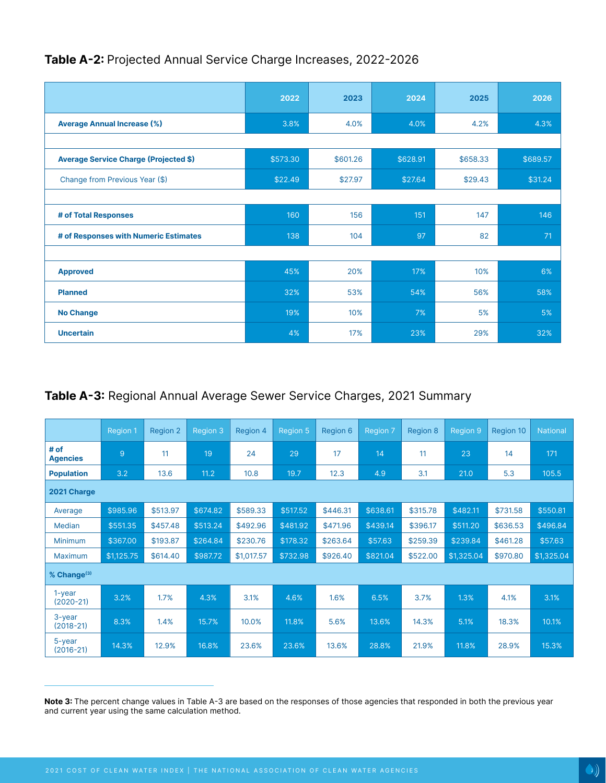# **Table A-2:** Projected Annual Service Charge Increases, 2022-2026

|                                              | 2022     | 2023     | 2024     | 2025     | 2026     |
|----------------------------------------------|----------|----------|----------|----------|----------|
| <b>Average Annual Increase (%)</b>           | 3.8%     | 4.0%     | 4.0%     | 4.2%     | 4.3%     |
|                                              |          |          |          |          |          |
| <b>Average Service Charge (Projected \$)</b> | \$573.30 | \$601.26 | \$628.91 | \$658.33 | \$689.57 |
| Change from Previous Year (\$)               | \$22.49  | \$27.97  | \$27.64  | \$29.43  | \$31.24  |
|                                              |          |          |          |          |          |
| # of Total Responses                         | 160      | 156      | 151      | 147      | 146      |
| # of Responses with Numeric Estimates        | 138      | 104      | 97       | 82       | 71       |
|                                              |          |          |          |          |          |
| <b>Approved</b>                              | 45%      | 20%      | 17%      | 10%      | 6%       |
| <b>Planned</b>                               | 32%      | 53%      | 54%      | 56%      | 58%      |
| <b>No Change</b>                             | 19%      | 10%      | 7%       | 5%       | 5%       |
| <b>Uncertain</b>                             | 4%       | 17%      | 23%      | 29%      | 32%      |

# **Table A-3:** Regional Annual Average Sewer Service Charges, 2021 Summary

|                             | <b>Region 1</b> | Region 2 | <b>Region 3</b> | Region 4   | Region 5 | Region 6 | Region 7 | <b>Region 8</b> | <b>Region 9</b> | <b>Region 10</b> | <b>National</b> |
|-----------------------------|-----------------|----------|-----------------|------------|----------|----------|----------|-----------------|-----------------|------------------|-----------------|
| # of<br><b>Agencies</b>     | 9               | 11       | 19              | 24         | 29       | 17       | 14       | 11              | 23              | 14               | 171             |
| <b>Population</b>           | 3.2             | 13.6     | 11.2            | 10.8       | 19.7     | 12.3     | 4.9      | 3.1             | 21.0            | 5.3              | 105.5           |
| 2021 Charge                 |                 |          |                 |            |          |          |          |                 |                 |                  |                 |
| Average                     | \$985.96        | \$513.97 | \$674.82        | \$589.33   | \$517.52 | \$446.31 | \$638.61 | \$315.78        | \$482.11        | \$731.58         | \$550.81        |
| <b>Median</b>               | \$551.35        | \$457.48 | \$513.24        | \$492.96   | \$481.92 | \$471.96 | \$439.14 | \$396.17        | \$511.20        | \$636.53         | \$496.84        |
| <b>Minimum</b>              | \$367.00        | \$193.87 | \$264.84        | \$230.76   | \$178.32 | \$263.64 | \$57.63  | \$259.39        | \$239.84        | \$461.28         | \$57.63         |
| <b>Maximum</b>              | \$1,125.75      | \$614.40 | \$987.72        | \$1,017.57 | \$732.98 | \$926.40 | \$821.04 | \$522.00        | \$1,325.04      | \$970.80         | \$1,325.04      |
| % Change <sup>(3)</sup>     |                 |          |                 |            |          |          |          |                 |                 |                  |                 |
| $1 - year$<br>$(2020 - 21)$ | 3.2%            | 1.7%     | 4.3%            | 3.1%       | 4.6%     | 1.6%     | 6.5%     | 3.7%            | 1.3%            | 4.1%             | 3.1%            |
| $3$ -year<br>$(2018-21)$    | 8.3%            | 1.4%     | 15.7%           | 10.0%      | 11.8%    | 5.6%     | 13.6%    | 14.3%           | 5.1%            | 18.3%            | 10.1%           |
| $5$ -year<br>$(2016 - 21)$  | 14.3%           | 12.9%    | 16.8%           | 23.6%      | 23.6%    | 13.6%    | 28.8%    | 21.9%           | 11.8%           | 28.9%            | 15.3%           |

**Note 3:** The percent change values in Table A-3 are based on the responses of those agencies that responded in both the previous year and current year using the same calculation method.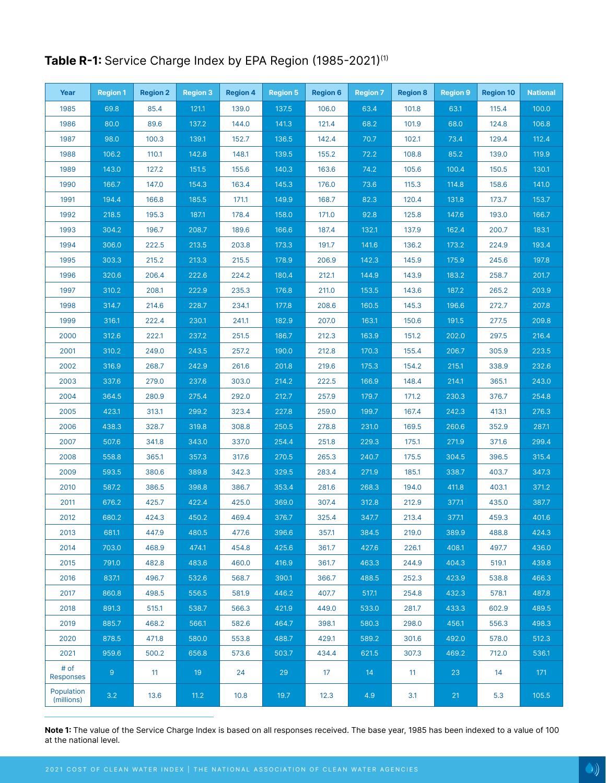# Table R-1: Service Charge Index by EPA Region (1985-2021)<sup>(1)</sup>

| Year                     | <b>Region 1</b> | <b>Region 2</b> | <b>Region 3</b> | <b>Region 4</b> | Region 5 | <b>Region 6</b> | <b>Region 7</b> | <b>Region 8</b> | <b>Region 9</b> | <b>Region 10</b> | <b>National</b> |
|--------------------------|-----------------|-----------------|-----------------|-----------------|----------|-----------------|-----------------|-----------------|-----------------|------------------|-----------------|
| 1985                     | 69.8            | 85.4            | 121.1           | 139.0           | 137.5    | 106.0           | 63.4            | 101.8           | 63.1            | 115.4            | 100.0           |
| 1986                     | 80.0            | 89.6            | 137.2           | 144.0           | 141.3    | 121.4           | 68.2            | 101.9           | 68.0            | 124.8            | 106.8           |
| 1987                     | 98.0            | 100.3           | 139.1           | 152.7           | 136.5    | 142.4           | 70.7            | 102.1           | 73.4            | 129.4            | 112.4           |
| 1988                     | 106.2           | 110.1           | 142.8           | 148.1           | 139.5    | 155.2           | 72.2            | 108.8           | 85.2            | 139.0            | 119.9           |
| 1989                     | 143.0           | 127.2           | 151.5           | 155.6           | 140.3    | 163.6           | 74.2            | 105.6           | 100.4           | 150.5            | 130.1           |
| 1990                     | 166.7           | 147.0           | 154.3           | 163.4           | 145.3    | 176.0           | 73.6            | 115.3           | 114.8           | 158.6            | 141.0           |
| 1991                     | 194.4           | 166.8           | 185.5           | 171.1           | 149.9    | 168.7           | 82.3            | 120.4           | 131.8           | 173.7            | 153.7           |
| 1992                     | 218.5           | 195.3           | 187.1           | 178.4           | 158.0    | 171.0           | 92.8            | 125.8           | 147.6           | 193.0            | 166.7           |
| 1993                     | 304.2           | 196.7           | 208.7           | 189.6           | 166.6    | 187.4           | 132.1           | 137.9           | 162.4           | 200.7            | 183.1           |
| 1994                     | 306.0           | 222.5           | 213.5           | 203.8           | 173.3    | 191.7           | 141.6           | 136.2           | 173.2           | 224.9            | 193.4           |
| 1995                     | 303.3           | 215.2           | 213.3           | 215.5           | 178.9    | 206.9           | 142.3           | 145.9           | 175.9           | 245.6            | 197.8           |
| 1996                     | 320.6           | 206.4           | 222.6           | 224.2           | 180.4    | 212.1           | 144.9           | 143.9           | 183.2           | 258.7            | 201.7           |
| 1997                     | 310.2           | 208.1           | 222.9           | 235.3           | 176.8    | 211.0           | 153.5           | 143.6           | 187.2           | 265.2            | 203.9           |
| 1998                     | 314.7           | 214.6           | 228.7           | 234.1           | 177.8    | 208.6           | 160.5           | 145.3           | 196.6           | 272.7            | 207.8           |
| 1999                     | 316.1           | 222.4           | 230.1           | 241.1           | 182.9    | 207.0           | 163.1           | 150.6           | 191.5           | 277.5            | 209.8           |
| 2000                     | 312.6           | 222.1           | 237.2           | 251.5           | 186.7    | 212.3           | 163.9           | 151.2           | 202.0           | 297.5            | 216.4           |
| 2001                     | 310.2           | 249.0           | 243.5           | 257.2           | 190.0    | 212.8           | 170.3           | 155.4           | 206.7           | 305.9            | 223.5           |
| 2002                     | 316.9           | 268.7           | 242.9           | 261.6           | 201.8    | 219.6           | 175.3           | 154.2           | 215.1           | 338.9            | 232.6           |
| 2003                     | 337.6           | 279.0           | 237.6           | 303.0           | 214.2    | 222.5           | 166.9           | 148.4           | 214.1           | 365.1            | 243.0           |
| 2004                     | 364.5           | 280.9           | 275.4           | 292.0           | 212.7    | 257.9           | 179.7           | 171.2           | 230.3           | 376.7            | 254.8           |
| 2005                     | 423.1           | 313.1           | 299.2           | 323.4           | 227.8    | 259.0           | 199.7           | 167.4           | 242.3           | 413.1            | 276.3           |
| 2006                     | 438.3           | 328.7           | 319.8           | 308.8           | 250.5    | 278.8           | 231.0           | 169.5           | 260.6           | 352.9            | 287.1           |
| 2007                     | 507.6           | 341.8           | 343.0           | 337.0           | 254.4    | 251.8           | 229.3           | 175.1           | 271.9           | 371.6            | 299.4           |
| 2008                     | 558.8           | 365.1           | 357.3           | 317.6           | 270.5    | 265.3           | 240.7           | 175.5           | 304.5           | 396.5            | 315.4           |
| 2009                     | 593.5           | 380.6           | 389.8           | 342.3           | 329.5    | 283.4           | 271.9           | 185.1           | 338.7           | 403.7            | 347.3           |
| 2010                     | 587.2           | 386.5           | 398.8           | 386.7           | 353.4    | 281.6           | 268.3           | 194.0           | 411.8           | 403.1            | 371.2           |
| 2011                     | 676.2           | 425.7           | 422.4           | 425.0           | 369.0    | 307.4           | 312.8           | 212.9           | 377.1           | 435.0            | 387.7           |
| 2012                     | 680.2           | 424.3           | 450.2           | 469.4           | 376.7    | 325.4           | 347.7           | 213.4           | 377.1           | 459.3            | 401.6           |
| 2013                     | 681.1           | 447.9           | 480.5           | 477.6           | 396.6    | 357.1           | 384.5           | 219.0           | 389.9           | 488.8            | 424.3           |
| 2014                     | 703.0           | 468.9           | 474.1           | 454.8           | 425.6    | 361.7           | 427.6           | 226.1           | 408.1           | 497.7            | 436.0           |
| 2015                     | 791.0           | 482.8           | 483.6           | 460.0           | 416.9    | 361.7           | 463.3           | 244.9           | 404.3           | 519.1            | 439.8           |
| 2016                     | 837.1           | 496.7           | 532.6           | 568.7           | 390.1    | 366.7           | 488.5           | 252.3           | 423.9           | 538.8            | 466.3           |
| 2017                     | 860.8           | 498.5           | 556.5           | 581.9           | 446.2    | 407.7           | 517.1           | 254.8           | 432.3           | 578.1            | 487.8           |
| 2018                     | 891.3           | 515.1           | 538.7           | 566.3           | 421.9    | 449.0           | 533.0           | 281.7           | 433.3           | 602.9            | 489.5           |
| 2019                     | 885.7           | 468.2           | 566.1           | 582.6           | 464.7    | 398.1           | 580.3           | 298.0           | 456.1           | 556.3            | 498.3           |
| 2020                     | 878.5           | 471.8           | 580.0           | 553.8           | 488.7    | 429.1           | 589.2           | 301.6           | 492.0           | 578.0            | 512.3           |
| 2021                     | 959.6           | 500.2           | 656.8           | 573.6           | 503.7    | 434.4           | 621.5           | 307.3           | 469.2           | 712.0            | 536.1           |
| # of<br><b>Responses</b> | $\overline{9}$  | 11              | 19              | 24              | 29       | 17              | 14              | 11              | 23              | 14               | 171             |
| Population<br>(millions) | 3.2             | 13.6            | 11.2            | 10.8            | 19.7     | 12.3            | 4.9             | 3.1             | 21              | 5.3              | 105.5           |

**Note 1:** The value of the Service Charge Index is based on all responses received. The base year, 1985 has been indexed to a value of 100 at the national level.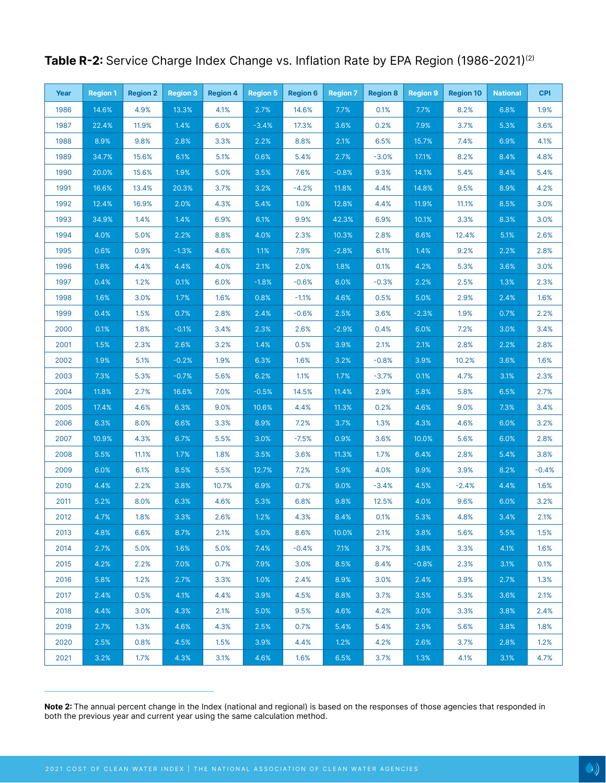| Year | <b>Region 1</b> | <b>Region 2</b> | <b>Region 3</b> | <b>Region 4</b> | <b>Region 5</b> | <b>Region 6</b> | <b>Region 7</b> | <b>Region 8</b> | <b>Region 9</b> | <b>Region 10</b> | <b>National</b> | <b>CPI</b> |
|------|-----------------|-----------------|-----------------|-----------------|-----------------|-----------------|-----------------|-----------------|-----------------|------------------|-----------------|------------|
| 1986 | 14.6%           | 4.9%            | 13.3%           | 4.1%            | 2.7%            | 14.6%           | 7.7%            | 0.1%            | 7.7%            | 8.2%             | 6.8%            | 1.9%       |
| 1987 | 22.4%           | 11.9%           | 1.4%            | 6.0%            | $-3.4%$         | 17.3%           | 3.6%            | 0.2%            | 7.9%            | 3.7%             | 5.3%            | 3.6%       |
| 1988 | 8.9%            | 9.8%            | 2.8%            | 3.3%            | 2.2%            | 8.8%            | 2.1%            | 6.5%            | 15.7%           | 7.4%             | 6.9%            | 4.1%       |
| 1989 | 34.7%           | 15.6%           | 6.1%            | 5.1%            | 0.6%            | 5.4%            | 2.7%            | $-3.0%$         | 17.1%           | 8.2%             | 8.4%            | 4.8%       |
| 1990 | 20.0%           | 15.6%           | 1.9%            | 5.0%            | 3.5%            | 7.6%            | $-0.8%$         | 9.3%            | 14.1%           | 5.4%             | 8.4%            | 5.4%       |
| 1991 | 16.6%           | 13.4%           | 20.3%           | 3.7%            | 3.2%            | $-4.2%$         | 11.8%           | 4.4%            | 14.8%           | 9.5%             | 8.9%            | 4.2%       |
| 1992 | 12.4%           | 16.9%           | 2.0%            | 4.3%            | 5.4%            | 1.0%            | 12.8%           | 4.4%            | 11.9%           | 11.1%            | 8.5%            | 3.0%       |
| 1993 | 34.9%           | 1.4%            | 1.4%            | 6.9%            | 6.1%            | 9.9%            | 42.3%           | 6.9%            | 10.1%           | 3.3%             | 8.3%            | 3.0%       |
| 1994 | 4.0%            | 5.0%            | 2.2%            | 8.8%            | 4.0%            | 2.3%            | 10.3%           | 2.8%            | 6.6%            | 12.4%            | 5.1%            | 2.6%       |
| 1995 | 0.6%            | 0.9%            | $-1.3%$         | 4.6%            | 1.1%            | 7.9%            | $-2.8%$         | 6.1%            | 1.4%            | 9.2%             | 2.2%            | 2.8%       |
| 1996 | 1.8%            | 4.4%            | 4.4%            | 4.0%            | 2.1%            | 2.0%            | 1.8%            | 0.1%            | 4.2%            | 5.3%             | 3.6%            | 3.0%       |
| 1997 | 0.4%            | 1.2%            | 0.1%            | 6.0%            | $-1.8%$         | $-0.6%$         | 6.0%            | $-0.3%$         | 2.2%            | 2.5%             | 1.3%            | 2.3%       |
| 1998 | 1.6%            | 3.0%            | 1.7%            | 1.6%            | 0.8%            | $-1.1%$         | 4.6%            | 0.5%            | 5.0%            | 2.9%             | 2.4%            | 1.6%       |
| 1999 | 0.4%            | 1.5%            | 0.7%            | 2.8%            | 2.4%            | $-0.6%$         | 2.5%            | 3.6%            | $-2.3%$         | 1.9%             | 0.7%            | 2.2%       |
| 2000 | 0.1%            | 1.8%            | $-0.1%$         | 3.4%            | 2.3%            | 2.6%            | $-2.9%$         | 0.4%            | 6.0%            | 7.2%             | 3.0%            | 3.4%       |
| 2001 | 1.5%            | 2.3%            | 2.6%            | 3.2%            | 1.4%            | 0.5%            | 3.9%            | 2.1%            | 2.1%            | 2.8%             | 2.2%            | 2.8%       |
| 2002 | 1.9%            | 5.1%            | $-0.2%$         | 1.9%            | 6.3%            | 1.6%            | 3.2%            | $-0.8%$         | 3.9%            | 10.2%            | 3.6%            | 1.6%       |
| 2003 | 7.3%            | 5.3%            | $-0.7%$         | 5.6%            | 6.2%            | 1.1%            | 1.7%            | $-3.7%$         | 0.1%            | 4.7%             | 3.1%            | 2.3%       |
| 2004 | 11.8%           | 2.7%            | 16.6%           | 7.0%            | $-0.5%$         | 14.5%           | 11.4%           | 2.9%            | 5.8%            | 5.8%             | 6.5%            | 2.7%       |
| 2005 | 17.4%           | 4.6%            | 6.3%            | 9.0%            | 10.6%           | 4.4%            | 11.3%           | 0.2%            | 4.6%            | 9.0%             | 7.3%            | 3.4%       |
| 2006 | 6.3%            | 8.0%            | 6.6%            | 3.3%            | 8.9%            | 7.2%            | 3.7%            | 1.3%            | 4.3%            | 4.6%             | 6.0%            | 3.2%       |
| 2007 | 10.9%           | 4.3%            | 6.7%            | 5.5%            | 3.0%            | $-7.5%$         | 0.9%            | 3.6%            | 10.0%           | 5.6%             | 6.0%            | 2.8%       |
| 2008 | 5.5%            | 11.1%           | 1.7%            | 1.8%            | 3.5%            | 3.6%            | 11.3%           | 1.7%            | 6.4%            | 2.8%             | 5.4%            | 3.8%       |
| 2009 | 6.0%            | 6.1%            | 8.5%            | 5.5%            | 12.7%           | 7.2%            | 5.9%            | 4.0%            | 9.9%            | 3.9%             | 8.2%            | $-0.4%$    |
| 2010 | 4.4%            | 2.2%            | 3.8%            | 10.7%           | 6.9%            | 0.7%            | 9.0%            | $-3.4%$         | 4.5%            | $-2.4%$          | 4.4%            | 1.6%       |
| 2011 | 5.2%            | 8.0%            | 6.3%            | 4.6%            | 5.3%            | 6.8%            | 9.8%            | 12.5%           | 4.0%            | 9.6%             | 6.0%            | 3.2%       |
| 2012 | 4.7%            | 1.8%            | 3.3%            | 2.6%            | 1.2%            | 4.3%            | 8.4%            | 0.1%            | 5.3%            | 4.8%             | 3.4%            | 2.1%       |
| 2013 | 4.8%            | 6.6%            | 8.7%            | 2.1%            | 5.0%            | 8.6%            | 10.0%           | 2.1%            | 3.8%            | 5.6%             | 5.5%            | 1.5%       |
| 2014 | 2.7%            | 5.0%            | 1.6%            | 5.0%            | 7.4%            | $-0.4%$         | 7.1%            | 3.7%            | 3.8%            | 3.3%             | 4.1%            | 1.6%       |
| 2015 | 4.2%            | 2.2%            | 7.0%            | 0.7%            | 7.9%            | 3.0%            | 8.5%            | 8.4%            | $-0.8%$         | 2.3%             | 3.1%            | 0.1%       |
| 2016 | 5.8%            | 1.2%            | 2.7%            | 3.3%            | 1.0%            | 2.4%            | 8.9%            | 3.0%            | 2.4%            | 3.9%             | 2.7%            | 1.3%       |
| 2017 | 2.4%            | 0.5%            | 4.1%            | 4.4%            | 3.9%            | 4.5%            | 8.8%            | 3.7%            | 3.5%            | 5.3%             | 3.6%            | 2.1%       |
| 2018 | 4.4%            | 3.0%            | 4.3%            | 2.1%            | 5.0%            | 9.5%            | 4.6%            | 4.2%            | 3.0%            | 3.3%             | 3.8%            | 2.4%       |
| 2019 | 2.7%            | 1.3%            | 4.6%            | 4.3%            | 2.5%            | 0.7%            | 5.4%            | 5.4%            | 2.5%            | 5.6%             | 3.8%            | 1.8%       |
| 2020 | 2.5%            | 0.8%            | 4.5%            | 1.5%            | 3.9%            | 4.4%            | 1.2%            | 4.2%            | 2.6%            | 3.7%             | 2.8%            | 1.2%       |
| 2021 | 3.2%            | 1.7%            | 4.3%            | 3.1%            | 4.6%            | 1.6%            | 6.5%            | 3.7%            | 1.3%            | 4.1%             | 3.1%            | 4.7%       |

# Table R-2: Service Charge Index Change vs. Inflation Rate by EPA Region (1986-2021)<sup>(2)</sup>

**Note 2:** The annual percent change in the Index (national and regional) is based on the responses of those agencies that responded in both the previous year and current year using the same calculation method.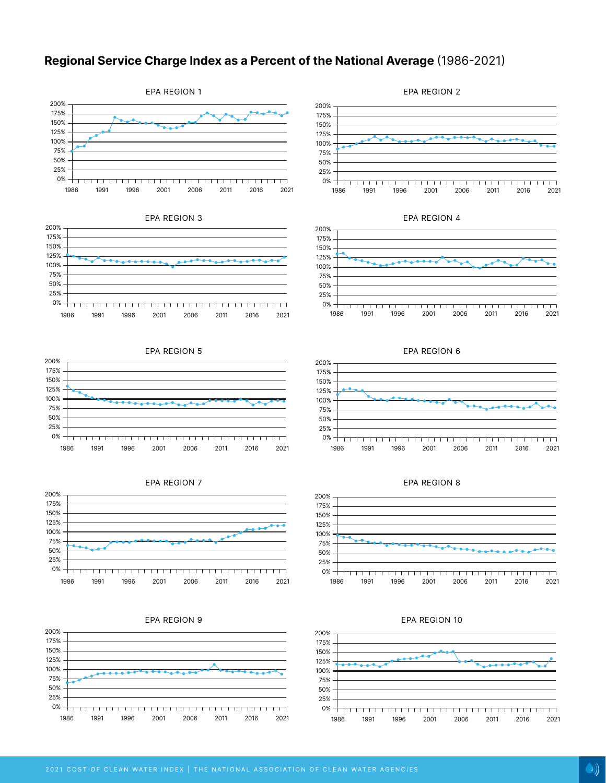## **Regional Service Charge Index as a Percent of the National Average** (1986-2021)































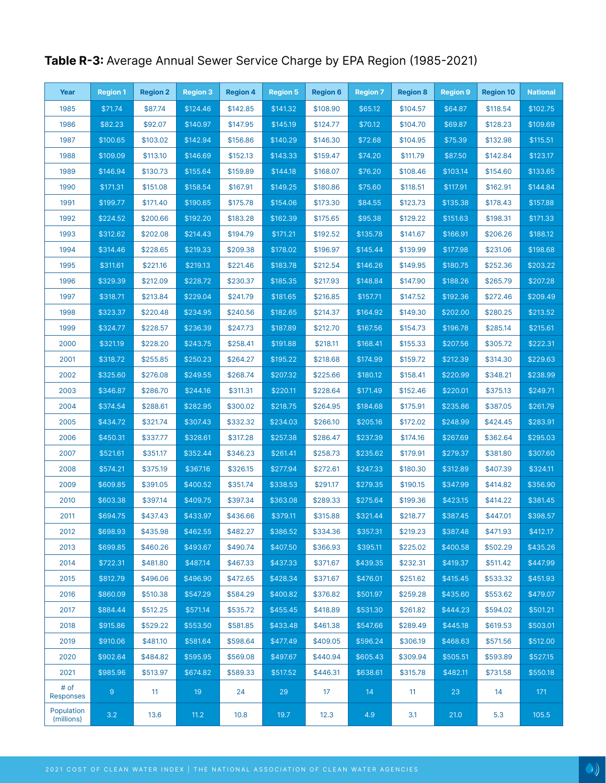# **Table R-3:** Average Annual Sewer Service Charge by EPA Region (1985-2021)

| Year                     | <b>Region 1</b> | <b>Region 2</b> | <b>Region 3</b> | <b>Region 4</b> | <b>Region 5</b> | <b>Region 6</b> | <b>Region 7</b> | <b>Region 8</b> | <b>Region 9</b> | <b>Region 10</b> | <b>National</b> |
|--------------------------|-----------------|-----------------|-----------------|-----------------|-----------------|-----------------|-----------------|-----------------|-----------------|------------------|-----------------|
| 1985                     | \$71.74         | \$87.74         | \$124.46        | \$142.85        | \$141.32        | \$108.90        | \$65.12         | \$104.57        | \$64.87         | \$118.54         | \$102.75        |
| 1986                     | \$82.23         | \$92.07         | \$140.97        | \$147.95        | \$145.19        | \$124.77        | \$70.12         | \$104.70        | \$69.87         | \$128.23         | \$109.69        |
| 1987                     | \$100.65        | \$103.02        | \$142.94        | \$156.86        | \$140.29        | \$146.30        | \$72.68         | \$104.95        | \$75.39         | \$132.98         | \$115.51        |
| 1988                     | \$109.09        | \$113.10        | \$146.69        | \$152.13        | \$143.33        | \$159.47        | \$74.20         | \$111.79        | \$87.50         | \$142.84         | \$123.17        |
| 1989                     | \$146.94        | \$130.73        | \$155.64        | \$159.89        | \$144.18        | \$168.07        | \$76.20         | \$108.46        | \$103.14        | \$154.60         | \$133.65        |
| 1990                     | \$171.31        | \$151.08        | \$158.54        | \$167.91        | \$149.25        | \$180.86        | \$75.60         | \$118.51        | \$117.91        | \$162.91         | \$144.84        |
| 1991                     | \$199.77        | \$171.40        | \$190.65        | \$175.78        | \$154.06        | \$173.30        | \$84.55         | \$123.73        | \$135.38        | \$178.43         | \$157.88        |
| 1992                     | \$224.52        | \$200.66        | \$192.20        | \$183.28        | \$162.39        | \$175.65        | \$95.38         | \$129.22        | \$151.63        | \$198.31         | \$171.33        |
| 1993                     | \$312.62        | \$202.08        | \$214.43        | \$194.79        | \$171.21        | \$192.52        | \$135.78        | \$141.67        | \$166.91        | \$206.26         | \$188.12        |
| 1994                     | \$314.46        | \$228.65        | \$219.33        | \$209.38        | \$178.02        | \$196.97        | \$145.44        | \$139.99        | \$177.98        | \$231.06         | \$198.68        |
| 1995                     | \$311.61        | \$221.16        | \$219.13        | \$221.46        | \$183.78        | \$212.54        | \$146.26        | \$149.95        | \$180.75        | \$252.36         | \$203.22        |
| 1996                     | \$329.39        | \$212.09        | \$228.72        | \$230.37        | \$185.35        | \$217.93        | \$148.84        | \$147.90        | \$188.26        | \$265.79         | \$207.28        |
| 1997                     | \$318.71        | \$213.84        | \$229.04        | \$241.79        | \$181.65        | \$216.85        | \$157.71        | \$147.52        | \$192.36        | \$272.46         | \$209.49        |
| 1998                     | \$323.37        | \$220.48        | \$234.95        | \$240.56        | \$182.65        | \$214.37        | \$164.92        | \$149.30        | \$202.00        | \$280.25         | \$213.52        |
| 1999                     | \$324.77        | \$228.57        | \$236.39        | \$247.73        | \$187.89        | \$212.70        | \$167.56        | \$154.73        | \$196.78        | \$285.14         | \$215.61        |
| 2000                     | \$321.19        | \$228.20        | \$243.75        | \$258.41        | \$191.88        | \$218.11        | \$168.41        | \$155.33        | \$207.56        | \$305.72         | \$222.31        |
| 2001                     | \$318.72        | \$255.85        | \$250.23        | \$264.27        | \$195.22        | \$218.68        | \$174.99        | \$159.72        | \$212.39        | \$314.30         | \$229.63        |
| 2002                     | \$325.60        | \$276.08        | \$249.55        | \$268.74        | \$207.32        | \$225.66        | \$180.12        | \$158.41        | \$220.99        | \$348.21         | \$238.99        |
| 2003                     | \$346.87        | \$286.70        | \$244.16        | \$311.31        | \$220.11        | \$228.64        | \$171.49        | \$152.46        | \$220.01        | \$375.13         | \$249.71        |
| 2004                     | \$374.54        | \$288.61        | \$282.95        | \$300.02        | \$218.75        | \$264.95        | \$184.68        | \$175.91        | \$235.86        | \$387.05         | \$261.79        |
| 2005                     | \$434.72        | \$321.74        | \$307.43        | \$332.32        | \$234.03        | \$266.10        | \$205.16        | \$172.02        | \$248.99        | \$424.45         | \$283.91        |
| 2006                     | \$450.31        | \$337.77        | \$328.61        | \$317.28        | \$257.38        | \$286.47        | \$237.39        | \$174.16        | \$267.69        | \$362.64         | \$295.03        |
| 2007                     | \$521.61        | \$351.17        | \$352.44        | \$346.23        | \$261.41        | \$258.73        | \$235.62        | \$179.91        | \$279.37        | \$381.80         | \$307.60        |
| 2008                     | \$574.21        | \$375.19        | \$367.16        | \$326.15        | \$277.94        | \$272.61        | \$247.33        | \$180.30        | \$312.89        | \$407.39         | \$324.11        |
| 2009                     | \$609.85        | \$391.05        | \$400.52        | \$351.74        | \$338.53        | \$291.17        | \$279.35        | \$190.15        | \$347.99        | \$414.82         | \$356.90        |
| 2010                     | \$603.38        | \$397.14        | \$409.75        | \$397.34        | \$363.08        | \$289.33        | \$275.64        | \$199.36        | \$423.15        | \$414.22         | \$381.45        |
| 2011                     | \$694.75        | \$437.43        | \$433.97        | \$436.66        | \$379.11        | \$315.88        | \$321.44        | \$218.77        | \$387.45        | \$447.01         | \$398.57        |
| 2012                     | \$698.93        | \$435.98        | \$462.55        | \$482.27        | \$386.52        | \$334.36        | \$357.31        | \$219.23        | \$387.48        | \$471.93         | \$412.17        |
| 2013                     | \$699.85        | \$460.26        | \$493.67        | \$490.74        | \$407.50        | \$366.93        | \$395.11        | \$225.02        | \$400.58        | \$502.29         | \$435.26        |
| 2014                     | \$722.31        | \$481.80        | \$487.14        | \$467.33        | \$437.33        | \$371.67        | \$439.35        | \$232.31        | \$419.37        | \$511.42         | \$447.99        |
| 2015                     | \$812.79        | \$496.06        | \$496.90        | \$472.65        | \$428.34        | \$371.67        | \$476.01        | \$251.62        | \$415.45        | \$533.32         | \$451.93        |
| 2016                     | \$860.09        | \$510.38        | \$547.29        | \$584.29        | \$400.82        | \$376.82        | \$501.97        | \$259.28        | \$435.60        | \$553.62         | \$479.07        |
| 2017                     | \$884.44        | \$512.25        | \$571.14        | \$535.72        | \$455.45        | \$418.89        | \$531.30        | \$261.82        | \$444.23        | \$594.02         | \$501.21        |
| 2018                     | \$915.86        | \$529.22        | \$553.50        | \$581.85        | \$433.48        | \$461.38        | \$547.66        | \$289.49        | \$445.18        | \$619.53         | \$503.01        |
| 2019                     | \$910.06        | \$481.10        | \$581.64        | \$598.64        | \$477.49        | \$409.05        | \$596.24        | \$306.19        | \$468.63        | \$571.56         | \$512.00        |
| 2020                     | \$902.64        | \$484.82        | \$595.95        | \$569.08        | \$497.67        | \$440.94        | \$605.43        | \$309.94        | \$505.51        | \$593.89         | \$527.15        |
| 2021                     | \$985.96        | \$513.97        | \$674.82        | \$589.33        | \$517.52        | \$446.31        | \$638.61        | \$315.78        | \$482.11        | \$731.58         | \$550.18        |
| # of<br><b>Responses</b> | 9 <sup>°</sup>  | 11              | 19              | 24              | 29              | 17 <sub>2</sub> | 14              | 11              | 23              | 14               | 171             |
| Population<br>(millions) | 3.2             | 13.6            | 11.2            | 10.8            | 19.7            | 12.3            | 4.9             | 3.1             | 21.0            | 5.3              | 105.5           |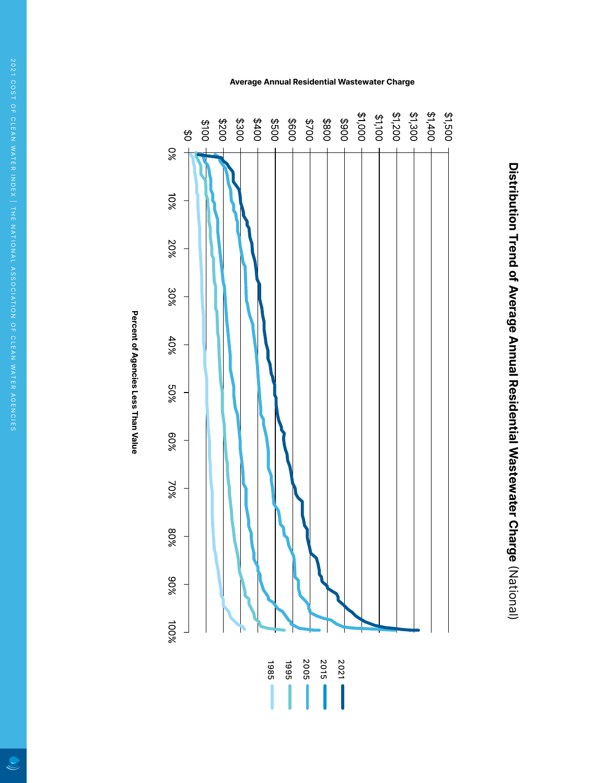



# Percent of Agencies Less Than Value **Percent of Agencies Less Than Value**

### **Average Annual Residential Wastewater Charge**